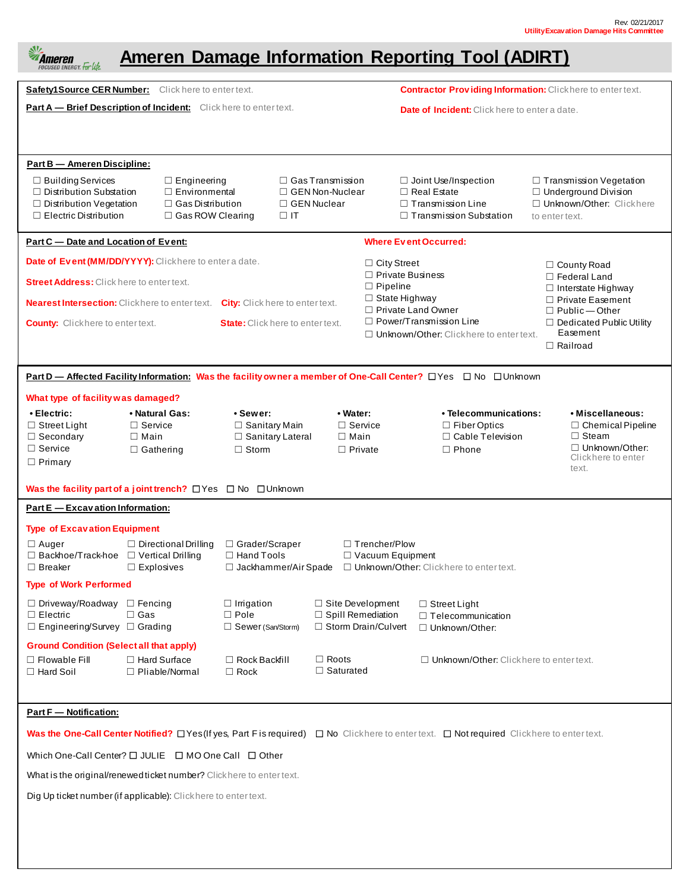| 处<br><b>Ameren Damage Information Reporting Tool (ADIRT)</b><br>Ameren<br>FOCUSED ENERGY. For Life.                                                                                                                                                                                                                                                                |                                                                                                                                                                                     |                                                                        |                                  |                                                                                                                 |                                                                                                                                               |                                                                                                     |                                                  |                                                                                                                 |  |
|--------------------------------------------------------------------------------------------------------------------------------------------------------------------------------------------------------------------------------------------------------------------------------------------------------------------------------------------------------------------|-------------------------------------------------------------------------------------------------------------------------------------------------------------------------------------|------------------------------------------------------------------------|----------------------------------|-----------------------------------------------------------------------------------------------------------------|-----------------------------------------------------------------------------------------------------------------------------------------------|-----------------------------------------------------------------------------------------------------|--------------------------------------------------|-----------------------------------------------------------------------------------------------------------------|--|
|                                                                                                                                                                                                                                                                                                                                                                    | Safety1 Source CER Number: Click here to enter text.                                                                                                                                |                                                                        |                                  |                                                                                                                 |                                                                                                                                               | <b>Contractor Providing Information:</b> Clickhere to enter text.                                   |                                                  |                                                                                                                 |  |
| Part A - Brief Description of Incident: Click here to enter text.<br><b>Date of Incident:</b> Click here to enter a date.                                                                                                                                                                                                                                          |                                                                                                                                                                                     |                                                                        |                                  |                                                                                                                 |                                                                                                                                               |                                                                                                     |                                                  |                                                                                                                 |  |
| <b>Part B - Ameren Discipline:</b><br>□ Building Services<br>$\Box$ Distribution Substation<br>□ Distribution Vegetation<br>$\Box$ Electric Distribution                                                                                                                                                                                                           | $\Box$ Gas Transmission<br>$\Box$ Engineering<br>$\Box$ GEN Non-Nuclear<br>$\Box$ Environmental<br>$\Box$ Gas Distribution<br>□ GEN Nuclear<br>$\Box$ Gas ROW Clearing<br>$\Box$ IT |                                                                        |                                  | $\Box$ Joint Use/Inspection<br>$\Box$ Real Estate<br>$\Box$ Transmission Line<br>$\Box$ Transmission Substation |                                                                                                                                               | □ Transmission Vegetation<br>□ Underground Division<br>□ Unknown/Other: Clickhere<br>to enter text. |                                                  |                                                                                                                 |  |
| Part C - Date and Location of Event:<br><b>Where Event Occurred:</b>                                                                                                                                                                                                                                                                                               |                                                                                                                                                                                     |                                                                        |                                  |                                                                                                                 |                                                                                                                                               |                                                                                                     |                                                  |                                                                                                                 |  |
| Date of Event (MM/DD/YYYY): Clickhere to enter a date.<br>$\Box$ City Street<br>$\Box$ County Road<br>$\Box$ Private Business                                                                                                                                                                                                                                      |                                                                                                                                                                                     |                                                                        |                                  |                                                                                                                 |                                                                                                                                               |                                                                                                     |                                                  |                                                                                                                 |  |
| <b>Street Address:</b> Click here to enter text.                                                                                                                                                                                                                                                                                                                   |                                                                                                                                                                                     | $\Box$ Pipeline                                                        |                                  |                                                                                                                 |                                                                                                                                               |                                                                                                     | □ Federal Land<br>$\Box$ Interstate Highway      |                                                                                                                 |  |
|                                                                                                                                                                                                                                                                                                                                                                    | <b>Nearest Intersection:</b> Clickhere to enter text. City: Click here to enter text.                                                                                               |                                                                        |                                  | $\Box$ State Highway                                                                                            | $\Box$ Private Land Owner                                                                                                                     |                                                                                                     | $\Box$ Private Easement<br>$\Box$ Public - Other |                                                                                                                 |  |
|                                                                                                                                                                                                                                                                                                                                                                    | <b>County:</b> Clickhere to enter text.<br><b>State:</b> Click here to enter text.                                                                                                  |                                                                        |                                  |                                                                                                                 | $\Box$ Power/Transmission Line<br>$\Box$ Dedicated Public Utility<br>Easement<br>$\Box$ Unknown/Other: Clickhere to enter text.<br>□ Railroad |                                                                                                     |                                                  |                                                                                                                 |  |
| Part D — Affected Facility Information: Was the facility owner a member of One-Call Center? □ Yes □ No □ Unknown                                                                                                                                                                                                                                                   |                                                                                                                                                                                     |                                                                        |                                  |                                                                                                                 |                                                                                                                                               |                                                                                                     |                                                  |                                                                                                                 |  |
| What type of facility was damaged?                                                                                                                                                                                                                                                                                                                                 |                                                                                                                                                                                     |                                                                        |                                  |                                                                                                                 |                                                                                                                                               |                                                                                                     |                                                  |                                                                                                                 |  |
| • Electric:<br>$\Box$ Street Light<br>$\Box$ Secondary<br>$\Box$ Service<br>$\Box$ Primary                                                                                                                                                                                                                                                                         | • Natural Gas:<br>$\Box$ Service<br>$\Box$ Main<br>$\Box$ Gathering                                                                                                                 | • Sewer:<br>$\Box$ Sanitary Main<br>□ Sanitary Lateral<br>$\Box$ Storm |                                  | • Water:<br>$\Box$ Service<br>$\Box$ Main<br>$\Box$ Private                                                     |                                                                                                                                               | • Telecommunications:<br>$\Box$ Fiber Optics<br>□ Cable Television<br>$\Box$ Phone                  |                                                  | • Miscellaneous:<br>$\Box$ Chemical Pipeline<br>$\Box$ Steam<br>□ Unknown/Other:<br>Clickhere to enter<br>text. |  |
| Was the facility part of a joint trench? $\Box$ Yes $\Box$ No $\Box$ Unknown<br>Part E - Excavation Information:                                                                                                                                                                                                                                                   |                                                                                                                                                                                     |                                                                        |                                  |                                                                                                                 |                                                                                                                                               |                                                                                                     |                                                  |                                                                                                                 |  |
| <b>Type of Excavation Equipment</b><br>□ Directional Drilling □ Grader/Scraper<br>$\Box$ Trencher/Plow<br>□ Auger<br>$\Box$ Backhoe/Track-hoe $\Box$ Vertical Drilling<br>$\Box$ Hand Tools<br>$\Box$ Vacuum Equipment<br>□ Jackhammer/Air Spade □ Unknown/Other: Clickhere to enter text.<br>$\Box$ Breaker<br>$\Box$ Explosives<br><b>Type of Work Performed</b> |                                                                                                                                                                                     |                                                                        |                                  |                                                                                                                 |                                                                                                                                               |                                                                                                     |                                                  |                                                                                                                 |  |
| $\Box$ Driveway/Roadway $\Box$ Fencing<br>$\Box$ Electric<br>□ Engineering/Survey □ Grading                                                                                                                                                                                                                                                                        | $\square$ Gas                                                                                                                                                                       | $\Box$ Irrigation<br>$\Box$ Pole<br>□ Sewer (San/Storm)                |                                  | $\Box$ Site Development<br>□ Spill Remediation<br>$\Box$ Storm Drain/Culvert                                    | $\Box$ Street Light<br>□ Telecommunication<br>□ Unknown/Other:                                                                                |                                                                                                     |                                                  |                                                                                                                 |  |
| <b>Ground Condition (Select all that apply)</b><br>$\Box$ Flowable Fill<br>$\Box$ Hard Soil                                                                                                                                                                                                                                                                        | $\Box$ Hard Surface<br>$\Box$ Pliable/Normal                                                                                                                                        | $\Box$ Rock Backfill<br>$\Box$ Rock                                    | $\Box$ Roots<br>$\Box$ Saturated |                                                                                                                 |                                                                                                                                               | $\Box$ Unknown/Other: Clickhere to enter text.                                                      |                                                  |                                                                                                                 |  |
| <b>Part F</b> - Notification:                                                                                                                                                                                                                                                                                                                                      |                                                                                                                                                                                     |                                                                        |                                  |                                                                                                                 |                                                                                                                                               |                                                                                                     |                                                  |                                                                                                                 |  |
| Was the One-Call Center Notified? O Yes (If yes, Part Fis required) O No Clickhere to entertext. O Not required Clickhere to enter text.                                                                                                                                                                                                                           |                                                                                                                                                                                     |                                                                        |                                  |                                                                                                                 |                                                                                                                                               |                                                                                                     |                                                  |                                                                                                                 |  |
| Which One-Call Center? $\Box$ JULIE $\Box$ MO One Call $\Box$ Other                                                                                                                                                                                                                                                                                                |                                                                                                                                                                                     |                                                                        |                                  |                                                                                                                 |                                                                                                                                               |                                                                                                     |                                                  |                                                                                                                 |  |
| What is the original/renewed ticket number? Click here to enter text.                                                                                                                                                                                                                                                                                              |                                                                                                                                                                                     |                                                                        |                                  |                                                                                                                 |                                                                                                                                               |                                                                                                     |                                                  |                                                                                                                 |  |
| Dig Up ticket number (if applicable): Clickhere to enter text.                                                                                                                                                                                                                                                                                                     |                                                                                                                                                                                     |                                                                        |                                  |                                                                                                                 |                                                                                                                                               |                                                                                                     |                                                  |                                                                                                                 |  |
|                                                                                                                                                                                                                                                                                                                                                                    |                                                                                                                                                                                     |                                                                        |                                  |                                                                                                                 |                                                                                                                                               |                                                                                                     |                                                  |                                                                                                                 |  |